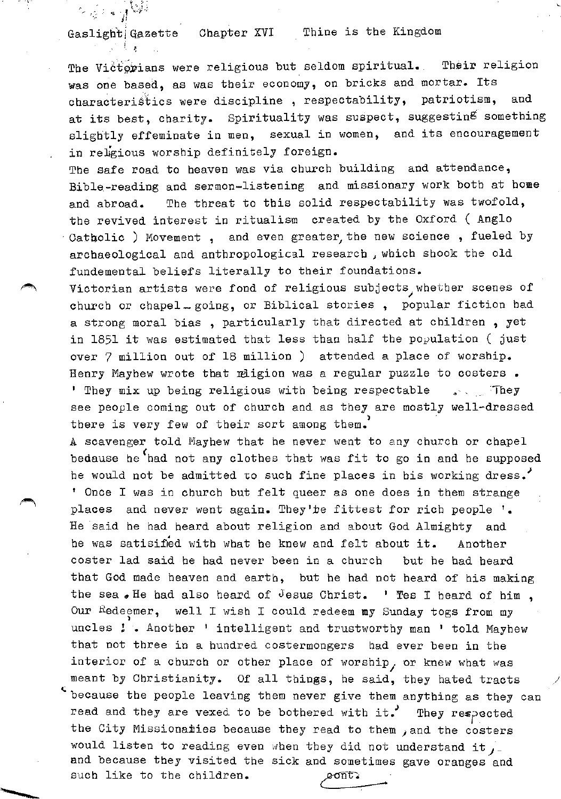Gaslight Gazette Chapter XVI Thine is the Kingdom

 $-1.31$  $\mathbf{r} = \begin{bmatrix} 1 & 1 & 1 \ 1 & 1 & 1 \end{bmatrix}$ 

∲ ह

The Victorians were religious but seldom spiritual. Their religion was one based, as was their economy, on bricks and mortar. Its characteristics were discipline, respectability, patriotism, and at its best, charity. Spirituality was suspect, suggesting something slightly effeminate in men, sexual in women, and its encouragement in re1gious worship definitely foreign.

The safe road to heaven was via church building and attendance, Bible-reading and sermon-listening and missionary work both at home and abroad. The threat to this solid respectability was twofold, the revived interest in ritualism created by the Oxford ( Anglo Catholic ) Movement, and even greater, the new science, fueled by archaeological and anthropologic3.1 research *}* which shook the old fundemental beliefs literally to their foundations.

Victorian artists were fond of religious subjects, whether scenes of church or chapel - going, or Biblical stories, popular fiction had a strong moral bias , particularly that directed at children , yet in 1851 it was estimated that less than half the population ( just over 7 million out of 18 million ) attended a place of worship. Henry Maybew wrote that religion was a regular puzzle to costers. ' They mix up being religious with being respectable seen . They see people coming out of church and as they are mostly well-dressed there is very few of their sort among them.

A scavenger told Mayhew that he never went to any church or chapel bedause he had not any clothes that was fit to go in and he supposed he would not be admitted to such fine places in his working dress. <sup>1</sup>Once I was in church but felt queer as one does in them strange places and never went again. They'te fittest for rich people '. He said he had beard about religion and about God Almighty and he was satisified with what he knew and felt about it. Another coster lad said he had never been in a church but he had heard that God made heaven and earth, but he had not heard of his making the sea. He had also heard of Jesus Christ. ' Tes I heard of him. Our Redeemer, well I wish I could redeem my Sunday togs from my uncles  $!$ . Another ' intelligent and trustworthy man ' told Mayhew that not three in a hundred costermongers had ever been in the interior of a church or other place of worship, or knew what was meant by Christianity. Of all things, he said, they hated tracts because the people leaving them never give them anything as they can read and they are vexed to be bothered with it.' They respected the City Missionaties because they read to them , and the costers would listen to reading even when they did not understand it, and because they visited the sick and sometimes gave oranges and such like to the children.

)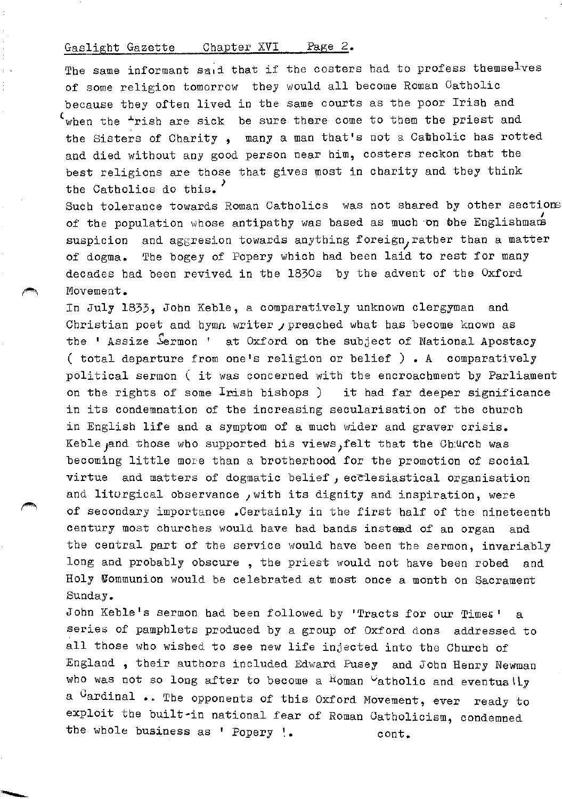The same informant said that if the costers had to profess themselves of some religion tomorrow they would all become Roman Catholic because they often lived in the same courts as the poor Irish and  $f_{\text{when the}}$   $\pm$ rish are sick be sure there come to them the priest and the Sisters of Charity , many a man that's not a Catholic has rotted and died without any good person near him, costers reckon that the best religions are those that gives most in charity and they think the Catholics do this.<sup>'</sup>

Such tolerance towards Roman Catholics was not shared by other sections of the population whose antipathy was based as much on the Englishman suspicion and aggresion towards anything foreign, rather than a matter of dogma. The bogey of Popery which bad been laid to rest for many decades had been revived in the 1830s by the advent of the Oxford Movement.

In July 1833, John Keble, a comparatively unknown clergyman and Christian poet and hymn writer  $j$  preached what has become known as the ' Assize Sermon ' at Oxford on the subject of National Apostacy ( total departure from one's religion or belief ) • A comparatively political sermon ( it was concerned with the encroachment by Parliament on the rights of some Inish bishops ) it had far deeper significance in its condemnation of the increasing secularisation of the church in English life and a symptom of a much wider and graver crisis. Keble and those who supported his views, felt that the Church was becoming little more than a brotherhood for the promotion of social virtue and matters of dogmatic belief, ecclesiastical organisation and liturgical observance , with its dignity and inspiration, were of secondary importance .Certainly in the first half of the nineteenth century most churches would have had bands instead of an organ and the central part of the service would have been the sermon, invariably long and probably obscure , the priest would not have been robed and Holy Wommunion would be celebrated at most once a month on Sacrament Sunday.

John Keble's sermon had been followed by 'Tracts for our Times' a series of pamphlets produced by a group of Oxford dons addressed to all those who wished to see new life injected into the Church of England , their authors included Edward Pusey and John Henry Newman who was not so long after to become a  $R$ oman  $\vee$ atholic and eventually a <sup>C</sup>ardinal .. The opponents of this Oxford Movement, ever ready to exploit the built-in national fear of Roman Catholicism, condemned the whole business as ' Popery '. cont.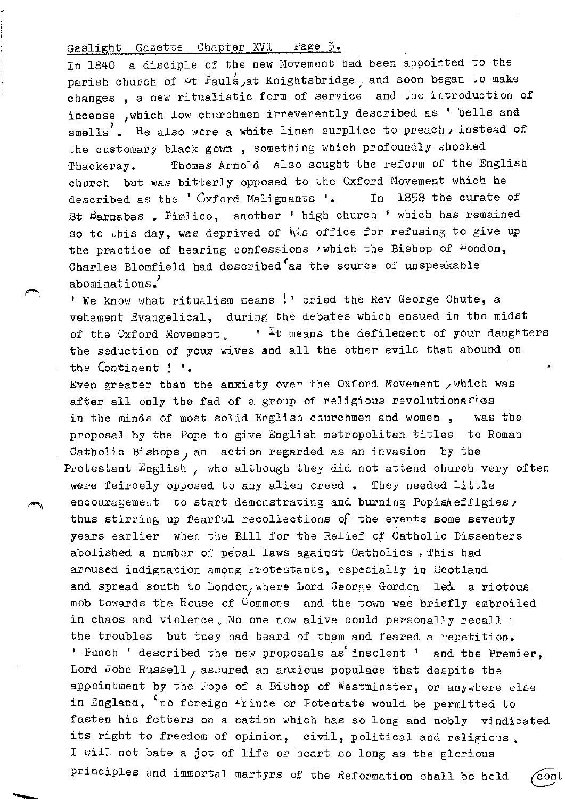∕*लाला*ले.

In 1840 a disciple of the new Movement had been appointed to the parish church of  $\triangleright$ t Pauls, at Knightsbridge, and soon began to make changes , a new ritualistic form of service and the introduction of incense , which low churchmen irreverently described as ' bells and smells'. He also wore a white linen surplice to preach, instead of the customary black gown, something which profoundly shocked Tbackeray. Thomas Arnold also sought the reform of the English church but was bitterly opposed to the Oxford Movement which be described as the  $'$   $\alpha$  ord Malignants  $'$ . In 1858 the curate of St Barnabas • Pimlico, another ' high church 1 which has remained so to this day, was deprived of his office for refusing to give up the practice of hearing confessions  $\prime$  which the Bishop of  $\frac{1}{2}$ ondon, Charles Blomfield had described as the source of unspeakable abominations.

' We know what ritualism means !' cried the Rev George Chute, a vehement Evangelical, during the debates which ensued in the midst of the Oxford Movement.  $\cdot$  <sup>I</sup>t means the defilement of your daughters the seduction of your wives and all the other evils that abound on the Continent ! '.

Even greater than the anxiety over the Oxford Movement /which was after all only the fad of a group of religious revolutionaries in the minds of most solid English churchmen and women , was the proposal by the Pope to give English metropolitan titles to Roman Catholic Bishops, an action regarded as an invasion by the Protestant English, who although they did not attend church very often were feircely opposed to any alien creed • They needed little encouragement to start demonstrating and burning Popisheffigies, thus stirring up fearful recollections of the events some seventy years earlier when the Bill for the Relief of Catholic Dissenters abolished a number of penal laws against Catholics • This had aroused indignation among Protestants, especially in Scotland and spread south to Londcn, where Lord George Gordon 1ed a riotous mob towards the House of Commons and the town was briefly embroiled in chaos and violence. No one now alive could personally recall  $\simeq$ the troubles but they bad beard 0f them and feared a repetition. ' Punch ' described the new proposals as insolent ' and the Premier, Lord John Russell, assured an anxious populace that despite the appointment by the Pope of a Bishop of Westminster, or anywhere else in England, 'no foreign Frince or Potentate would be permitted to fasten his fetters on a nation which has so long and nobly vindicated its right to freedom of opinion, civil, political and religious, I will not bate a jot of life or heart so long as the glorious principles and immortal martyrs of the Reformation shall be held ∕con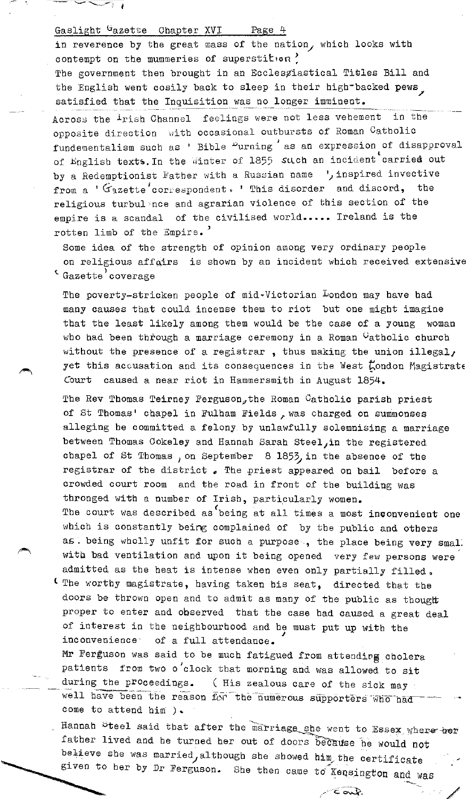والمستستعد

 $\cdot$   $\cdot$   $\cdot$   $\cdot$ 

- ---

in reverence by the great mass of the nation, which looks with contempt on the mummeries of superstition  $'$ The government then brought in an Ecclesgiastical Titles Bill and the English went cosily back to sleep in their high-backed pews satisfied that the Inquisition was no longer imminent.

Across the <sup>1</sup>rish Channel feelings were not less vehement in the opposite direction with occasional outbursts of Roman Catholic fundementalism such as ' Bible <sup>D</sup>urning as an expression of disapproval of English texts. In the Winter of 1855 such an incident carried out by a Redemptionist Father with a Russian name ', inspired invective from a ' Gazette' correspondent. ' This disorder and discord, the religious turbul~nce and agrarian violence of this section of the empire is a scandal of the civilised world..... Ireland is the rotten limb of the Empire.'

Some idea of the strength of opinion among very ordinary people on religious affairs is shown by an incident which received extensive <sup>t</sup> Gazette' coverage

The poverty-stricken people of mid-Victorian London may have had many causes that could incense them to riot but one might imagine that the least likely among them would be the case of a young woman who had been through a marriage ceremony in a Roman  $G$ atholic church without the presence of a registrar , thus making the union illegal, yet this accusation and its consequences in the West London Magistrate .<br>Court caused a near riot in Hammersmith in August 1854.

The Rev Thomas Teirney Ferguson, the Roman Catholic parish priest of St Thomas' chapel in Fulham Fields, was charged on summonses alleging be committed a felony by unlawfully solemnising a marriage between Thomas Cokeley and Hannah Sarah Steel, in the registered chapel of St Thomas, on September  $8$  1853, in the absence of the registrar of the district. The priest appeared on bail before a crowded court room and the road in front of the building was thronged with a number of Irish, particularly women. The court was described as being at all times a most inconvenient one which is constantly being complained of by the public and others as. being wholly unfit for such a purpose., the place being very smal. with bad ventilation and upon it being opened very few persons were admitted as the heat is intense when even only partially filled.

I The worthy magistrate, having taken his seat, directed that the doors be thrown open and to admit as many of the public as thought proper to enter and observed that the case had caused a great deal of interest in the neighbourhood and he must put up with the inconvenience of a full attendance.

Mr Ferguson was said to be much fatigued from attending cholera patients from two o'clock that morning and was allowed to sit during the proceedings. ( His zealous care of the sick may  $\cdot$ well have been the reason for the numerous supporters who had come to attend him ).

Hannah Steel said that after the marriage she went to Essex where ber father lived and he turned her out of doors because he would not believe she was married, although she showed him the certificate given to her by Dr Ferguson. She then came to Kensington and was

·-----

 $\sim$  cant.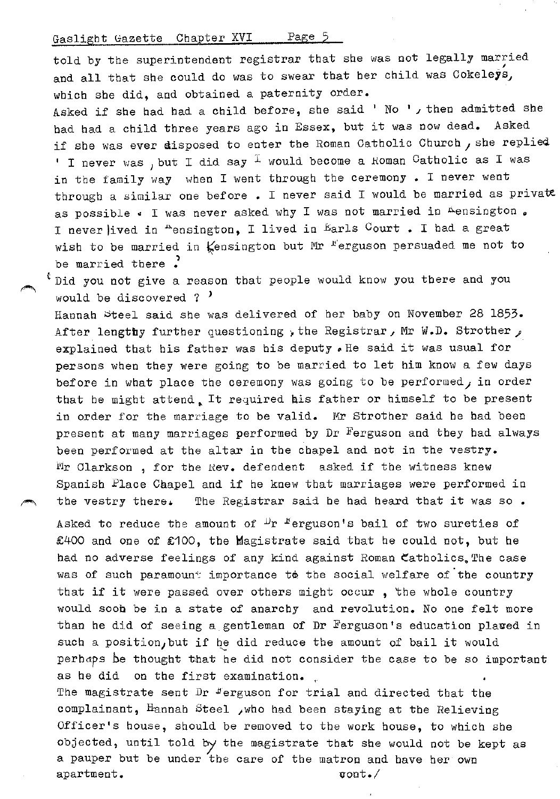told by the superintendent registrar that she was not legally married and all that she could do was to swear that her child was Cokeleys, which she did, and obtained a paternity order.

Asked if she had had a child before, she said ' No ', then admitted she bad bad a child three years ago in Essex, but it was now dead. Asked if she was ever disposed to enter the Roman Catholic Church, she replied. ' I never was , but I did say  $\overline{1}$  would become a Roman Catholic as I was in the family way when I went through the ceremony. I never went through a similar one before. I never said I would be married as private as possible . I was never asked why I was not married in Aensington . I never lived in "ensington, I lived in Earls Court. I had a great wish to be married in  $\frac{1}{2}$ ensington but Mr <sup>r</sup>erguson persuaded me not to be married there .

Did you not give a reason that people would know you there and you would be discovered ?  $'$ 

Hannah Steel said she was delivered of her baby on November 28 1853. After lengthy further questioning, the Registrar, Mr W.D. Strother, explained that his father was his deputy. He said it was usual for persons when they were going to be married to let him know a few days before in what place the ceremony was going to be performed, in order that he might attend. It required his father or himself to be present in order for the marriage to be valid. Mr Strother said he had been present at many marriages performed by Dr Ferguson and they had always been performed at the altar in the chapel and not in the vestry.  $N_r$  Clarkson, for the Rev. defendent asked if the witness knew Spanish Place Chapel and if he knew that marriages were performed in the vestry there. The Registrar said he had heard that it was so.

Asked to reduce the amount of  $\mathcal{V}_r$  <sup>r</sup>erguson's bail of two sureties of £400 and one of £100, the Magistrate said that he could not, but he had no adverse feelings of any kind against Roman Catholics. The case was of such paramount importance to the social welfare of the country that if it were passed over others might occur , the whole country would soob be in a state of anarchy and revolution. No one felt more than he did of seeing a gentleman of Dr Ferguson's education plaved in such a position, but if he did reduce the amount of bail it would perhaps be thought that be did not consider the case to be so important as he did on the first examination.

The magistrate sent Dr  $F$ erguson for trial and directed that the complainant, Hannah Steel , who had been staying at the Relieving Officer's house, should be removed to the work house, to which she objected, until told by the magistrate that she would not be kept as a pauper but be under the care of the matron and have her· own a partment.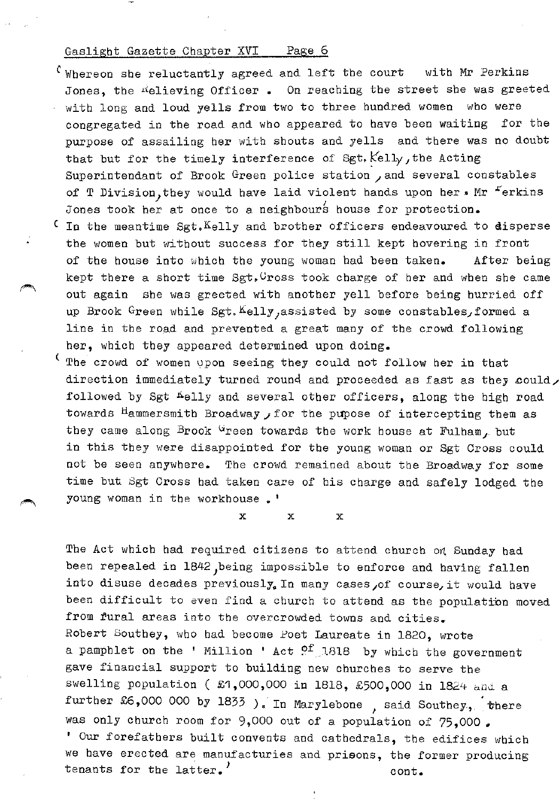- C Whereon she reluctantly agreed and left the court with Mr Perkins Jones, the ¤elieving Officer. On reaching the street she was greeted with long and loud yells from two to three hundred women who were congregated in the road and wbo appeared to have been waiting for the purpose of assailing her with shouts and yells and there was no doubt that but for the timely interference of Sgt.  $Kell_1$ , the Acting Superintendant of Brook Green police station /and several constables of T Division, they would have laid violent hands upon her. Mr  $F$ erkins Jones took her at once to a neighbours house for protection.
- $\epsilon$  In the meantime Sgt.  $K$ elly and brother officers endeavoured to disperse the women but without success for they still kept hovering in front of the house into which the young woman had been taken. After being kept there a short time  $Sgt, Vross$  took charge of her and when she came out again she was greeted with another yell before being hurried off up Brook Green while Sgt. Kelly, assisted by some constables, formed a line in the road and prevented a great many of the crowd following her, which they appeared determined upon doing.
- The crowd of women upon seeing they could not follow her in that direction immediately turned round and proceeded as fast as they could, followed by Sgt "elly and several other officers, along the high road towards <sup>H</sup>ammersmith Broadway *,* for the pupose of intercepting them as they came along Brook  $G$ reen towards the work house at Fulham, but in this they were disappointed for the young woman or Sgt Cross could not be seen anywhere. The crowd remained about the Broadway for some time but Sgt Cross bad taken care of his charge and safely lodged the young woman in the workhouse.'

 $\mathbf{x}$  x  $\mathbf{x}$ 

The Act which had required citizens to attend church *on* Sunday bad been repealed in 1842, being impossible to enforce and having fallen into disuse decades previously. In many cases, of course, it would have been difficult to even find a church to attend as the population moved from fural areas into the overcrowded towns and cities. Robert Southey, who had become Poet Laureate in 1820, wrote a pamphlet on the ' Million ' Act <sup>of</sup> 1818 by which the government gave financial support to building new churches to serve the swelling population (£1,000,000 in 1818, £500,000 in 1824 and a further  $£6,000$  000 by 1833 ). In Marylebone, said Southey, there was only church room for 9,000 out of a population of 75,000. ' Our forefathers built convents and cathedrals, the edifices which we have erected are manufacturies and prisons, the former producing tenants for the latter.' cont.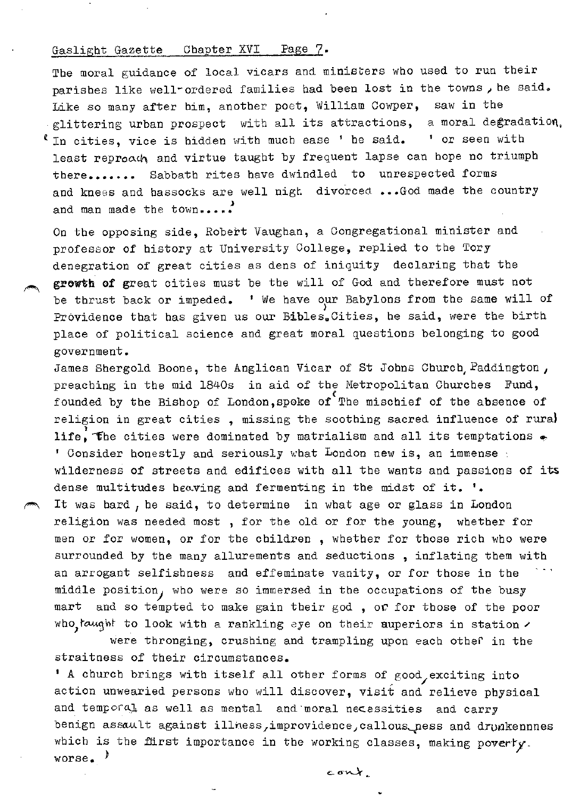The moral guidance of local vicars and ministers who used to run their parishes like well-ordered families had been lost in the towns, he said. Like so many after him, another poet, William Cowper, saw in the glittering urban prospect with all its attractions, a moral degradation.  $\ell$  In cities, vice is hidden with much ease ' he said.  $\ell$  or seen with least reproad, and virtue taught by frequent lapse can hope no triumph there....... Sabbath rites have dwindled to unrespected forms and knees and hassocks are well nigh divorced ...God made the country and man made the town.....

On the opposing side, Robert Vaughan, a Congregational minister and professor of history at University College, replied to the Tory denegration of great cities as dens of iniquity declaring that the growth of great cities must be the will of God and therefore must not be thrust back or impeded.  $\cdot$  We have our Babylons from the same will of Providence that has given us our Bibles. Cities, he said, were the birth place of political science and great moral questions belonging to good government.

James Shergold Boone, the Anglican Vicar of St Johns Church, Paddington, preaching in the mid 1840s in aid of the Metropolitan Churches Fund, founded by the Bishop of London, spoke of The mischief of the absence of religion in great cities, missing the soothing sacred influence of rural life, the cities were dominated by matrialism and all its temptations  $\bullet$  $1$  Consider honestly and seriously what London new is, an immense  $\pm$ wilderness of streets and edifices with all the wants and passions of its dense multitudes heaving and fermenting in the midst of it. '. It was hard, he said, to determine in what age or glass in London religion was needed most , for the old or for the young, whether for men or for women, or for the children , whether for those rich who were surrounded by the many allurements and seductions , inflating them with an arrogant selfishness and effeminate vanity, or for those in the middle position) who were so immersed in tbe occupations of the busy mart and so tempted to make gain their god , *oc* for those of the poor who taught to look with a rankling eye on their auperiors in station  $\prime$ 

were thronging, crushing and trampling upon each other in the straitness of their circumstances.

' A church brings with itself all other forms of good, exciting into action unwearied persons who will discover, visit and relieve physical and temporal as well as mental and moral necessities and carry benign assault against illness, improvidence, callous\_ness and drunkennnes which is the flirst importance in the working classes, making poverty. worse.<sup>1</sup>

cont.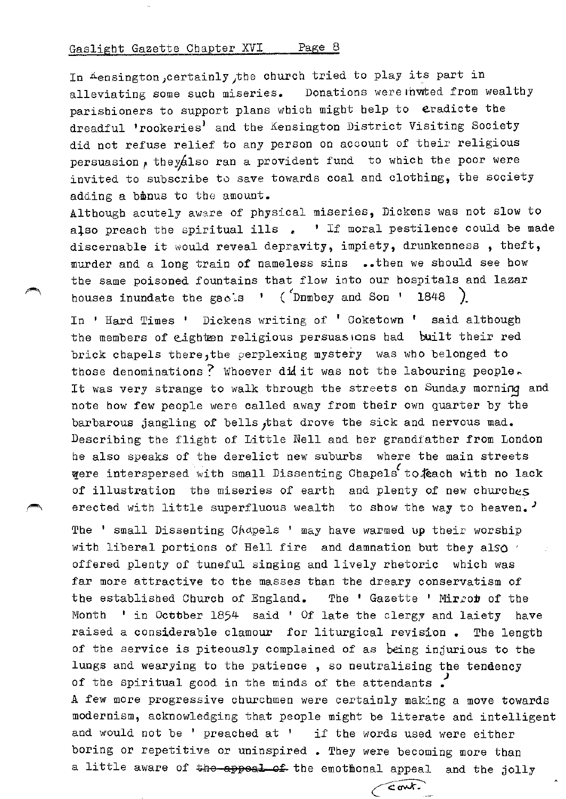In Aensington,certainly 1the church tried to play its part in alleviating some such miseries. Donations were nuted from wealthy parishioners to support plans which might help to eradicte the dreadful 'rookeries' and the Kensington District Visiting Society did not refuse relief to any person on account of their religious persuasion, theyalso ran a provident fund to which the poor were invited to subscribe *to* save towards coal and clothing, the society adding a binus to the amount.

Although acutely aware of physical miseries, Dickens was not slow to also preach the spiritual ills  $\Box$  ' If moral pestilence could be made discernable it would reveal depravity, impiety, drunkenness, theft, murder and a long train of nameless sins •• then we should see bow the same poisoned fountains that flow into our hospitals and lazar houses inundate the gao.s  $\cdot$  (  $\cdot$  Dnmbey and Son  $\cdot$  1848 ).

In ' Hard Times ' Dickens writing of ' Coketown ' said although the members of eighten religious persuasions had built their red brick chapels there, the perplexing mystery was who belonged to those denominations? Whoever did it was not the labouring people. It was very strange to walk through the streets on Sunday morning and note how few people were called away from their own quarter by the barbarous jangling of bells,that drove the sick and nervous mad. Describing the flight of Little Nell and her grandfather from London he also speaks of the derelict new suburbs where the main streets were interspersed with small Dissenting Chapels to. Kach with no lack of illustration the miseries of earth and plenty of new churches erected with little superfluous wealth to show the way to heaven.<sup>J</sup>

The ' small Dissenting Chapels ' may have warmed up their worship with liberal portions of Hell fire and damnation but they also offered plenty of tuneful singing and lively rhetoric which was far more attractive to the masses than the dreary conservatism of the established Church of England. The ' Gazette ' Mirror of the Month ' in Octtber 1854 said ' Of late the clergy and laiety have raised a considerable clamour for liturgical revision. The length of the service is piteously complained of as being injurious to the lungs and wearying to the patience, so neutralising the tendency of the spiritual good in the minds of the attendants *!*  A few more progressive churchmen were certainly making a move towards modernism, acknowledging that people might be literate and intelligent and would not be ' preached at ' if the words used were either boring or repetitive or uninspired • They were becoming more than a little aware of the appeal of the emothonal appeal and the jolly

 $\epsilon$  ont.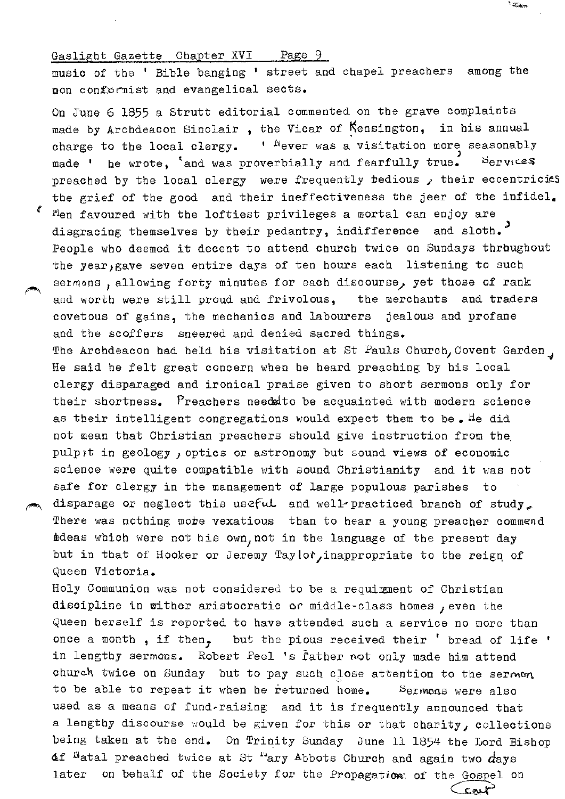music of the ' Bible banging 1 street and chapel preachers among the non conformist and evangelical sects.

On June 6 1855 a Strutt editorial commented on the grave complaints made by Archdeacon Sinclair, the Vicar of Kensington, in his annual charge to the local clergy.  $\cdot$  <sup>N</sup>ever was a visitation more seasonably made ' he wrote, 'and was proverbially and fearfully true. Services preached by the local clergy were frequently tedious  $\lambda$  their eccentricies the grief of the good and their ineffectiveness the jeer of the infidel. *t* Men favoured with the loftiest privileges a mortal can enjoy are disgracing themselves by their pedantry, indifference and sloth.<sup>3</sup> People who deemed it decent to attend church twice on Sundays thrbughout the year, gave seven entire days of ten hours each listening to such sermons, allowing forty minutes for each discourse, yet those of rank and worth were still proud and frivolous, the merchants and traders covetous of gains, the mechanics and labourers jealous and profane and the scoffers sneered and denied sacred things. The Archdeacon had held his visitation at St Pauls Church, Covent Garden, He said be felt great concern when he beard preaching by his local clergy disparaged and ironical praise given to short sermons only for their shortness. Preachers needd to be acquainted with modern science as their intelligent congregations would expect them to be. He did not mean that Christian preachers should give instruction from the, pulpit in geology, optics or astronomy but sound views of economic science were quite compatible with sound Christianity and it was not safe for clergy in the management of large populous parishes disparage or neglect this useful and well-practiced branch of study. There was nothing mote vexatious than to hear a young preacher commend ideas which were not his own, not in the language of the present day but in that of Hooker or Jeremy Taylot, inappropriate to the reign of Queen Victoria.

Holy Communion was not considered to be a requimment of Christian discipline in wither aristocratic or middle-class homes , even the Queen herself is reported to have attended such a service no more than once a month, if then, but the pious received their ' bread of life ' in lengthy sermons. Robert Peel 's father not only made him attend church twice on Sunday but to pay such close attention to the sermon to be able to repeat it when he returned home. Sermons were also used as a means of fund~raising and it is frequently announced that a lengthy discourse would be given for this or that charity, collections being taken at the end. On Trinity Sunday June 11 1854 the Lord Bishop Af <sup>N</sup>atal preached twice at St  $^{\prime\prime}$ ary Abbots Church and again two  $d$ ays later on behalf of the Society for the Propagation: of the Gospel on

 $\subset$ cout

<sup>e</sup> diama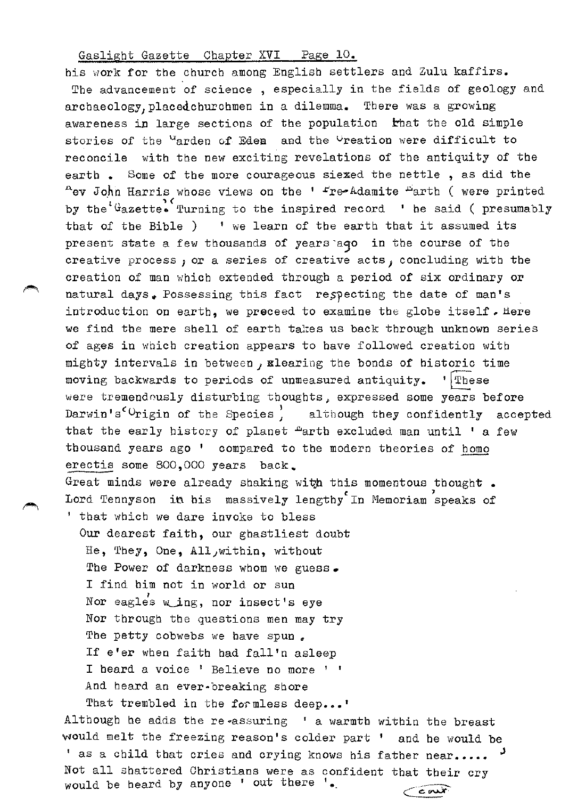his work for the church among English settlers and Zulu kaffirs. The advancement of science , especially in the fields of geology and archaeology, placed churchmen in a dilemma. There was a growing awareness in large sections of the population that the old simple stories of the <sup>u</sup>arden of Eden and the <sup>U</sup>reation were difficult to reconcile with the new exciting revelations of the antiquity of the earth. Some of the more courageous siexed the nettle, as did the  $A$ ev John Harris whose views on the '  $r$ re-Adamite  $A$ arth ( were printed by the Gazette. Turning to the inspired record ' he said ( presumably that of the Bible ) ' we learn of the earth that it assumed its present state a few thousands of years aqo in the course of the creative process, or a series of creative acts, concluding with the creation of man which extended through a period of six ordinary or natural days. Possessing this fact respecting the date of man's introduction on earth, we preceed to examine the globe itself. Here we find the mere shell of earth takes us back through unknown series of ages in which creation appears to have followed creation with mighty intervals in between, glearing the bonds of historic time moving backwards to periods of unmeasured antiquity. ' These were tremendously disturbing thoughts, expressed some years before Darwin's<sup> $c$ </sup>Urigin of the Species, although they confidently accepted that the early history of planet "arth excluded man until ' a few thousand years ago ' compared to the modern theories of homo erectis some 800,000 years back\_ Great minds were already shaking with this momentous thought. Lord Tennyson in his massively lengthy In Memoriam speaks of ' that which we dare invoke to bless Our dearest faith, our ghastliest doubt He, They, One, All, within, without The Power of darkness whom we guess. I find him not in world or sun Nor eagle's wing, nor insect's eye Nor through the questions men may try The petty cobwebs we have spun. If e'er when faith had fall'n asleep I heard a voice ' Believe no more ' 1 And heard an ever-breaking shore

That trembled in the formless deep...' Although he adds the re~assuring ' a warmth within the breast

would melt the freezing reason's colder part ' and be would be ' as a child that cries and crying knows his father near..... Not all shattered Christians were as confident that their cry would be beard by anyone ' out there '•  $\epsilon$ out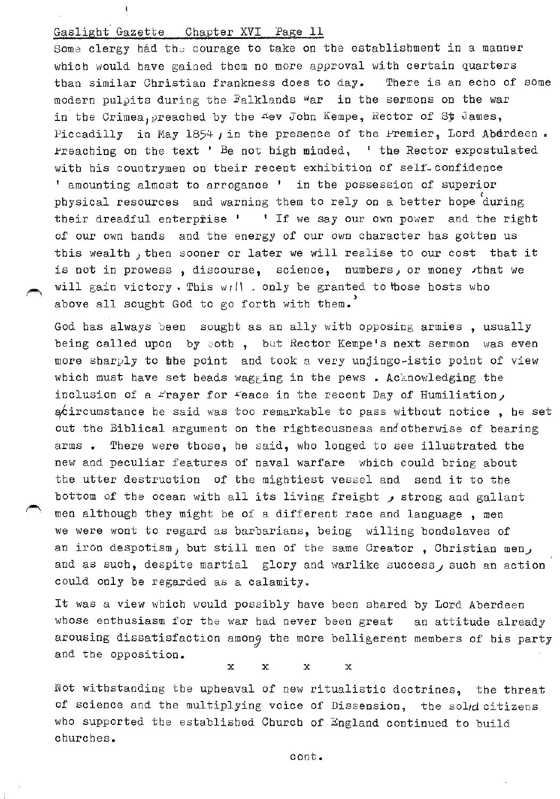Some clergy had the courage to take on the establishment in a manner which would have gained them no more approval with certain quarters than similar Christian frankness does to day. There is an echo of some modern pulpits during the Falklands War in the sermons on the war in the Crimea, preached by the nev John Kempe, Rector of St James, Piccadilly in May  $1854$  , in the presence of the Premier, Lord Aberdeen. Freaching on the text ' Be not high minded, ' the Rector expostulated with his countrymen on their recent exhibition of self-confidence <sup>1</sup> amounting almost to arrogance <sup>1</sup> in the possession of superior physical resources and warning them to rely on a better hope during their dreadful enterprise  $1 + 1$  If we say our own power and the right of our own hands and the energy of our own character has gotten us this wealth, then sooner or later we will realise to our cost that it is not in prowess , discourse, science, numbers, or money , that we will gain victory. This  $w_I||_+$  only be granted to those hosts who above all sought God to go forth with them.<sup>'</sup>

God has always been sought as an ally with opposing armies , usually being called upon by ooth, but Rector Kempe's next sermon was even more sharply to the point and took a very unjingo-istic point of view which must have set heads wagging in the pews . Acknowledging the inclusion of a frayer for feace in the recent Day of Humiliation,  $\phi$ dircumstance he said was too remarkable to pass without notice, he set out the Biblical argument on the righteousness andotherwise of bearing arms • There were those, he said, who longed to see illustrated the new and peculiar features of naval warfare which could bring about the utter destruction of the mightiest vessel and send it to the bottom of the ocean with all its living freight  $\rho$  strong and gallant men although they might be of a different race and language , men we were wont to regard as barbarians, being willing bondslaves of an iron despotism, but still men of the same Creator, Christian men, and as such, despite martial glory and warlike success, such an action could only be regarded as a calamity.

It was a view which would possibly have been shared by Lord Aberdeen whose enthusiasm for the war had never been great an attitude already arousing dissatisfaction among the more belligerent members of his party and the opposition.

 $\mathbf{x}$   $\mathbf{x}$   $\mathbf{x}$   $\mathbf{x}$ 

Not withstanding the upheaval of new ritualistic doctrines, the threat of science and the multiplying voice of Dissension, the soldd citizens who supported the established Church of England continued to build churches.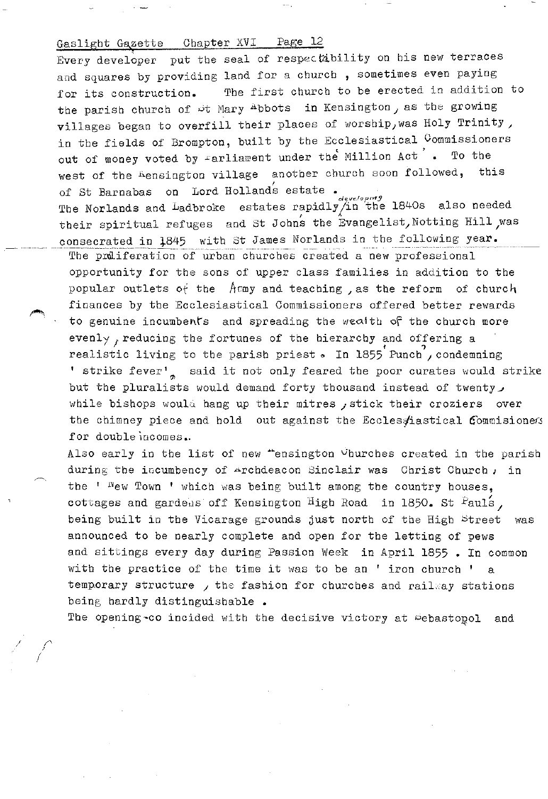Every developer put the seal of respectibility on his new terraces and squares by providing land for a church , sometimes even paying for its construction. The first church to be erected in addition to the parish church of  $\mathcal{P}$ t Mary Abbots in Kensington, as the growing villages began to overfill their places of worship, was Holy Trinity, in the fields of Brompton, built by the Ecclesiastical Commissioners out of money voted by  $\texttt{farlinear}$  under the Million Act  $\texttt{'}$ . To the west of the Lensington village another church soon followed, this of St Barnabas on Lord Holland's estate. The Norlands and Ladbroke estates rapidly/in the 1840s also needed

their spiritual refuges and St Johns the Evangelist, Notting Hill was consecrated in 1845 with St James Norlands in the following year.

The proliferation of urban churches created a new professional opportunity for the sons of upper class families in addition to the popular outlets of the  $A$ cmy and teaching , as the reform of church finances by the Ecclesiastical Commissioners offered better rewards to genuine incumbents and spreading the wealth of the church more evenly, reducing the fortunes of the hierarchy and offering a realistic living to the parish priest. In 1855 Punch, condemning ' strike fever', said it not only feared the poor curates would strike but the pluralists would demand forty thousand instead of twenty, while bishops would hang up their mitres ; stick their croziers over the chimney piece and hold out against the Ecclesyiastical Commisioners for double incomes.

Also early in the list of new "ensington Vhurches created in the parish during the incumbency of Archdeacon Sinclair was Christ Church, in the ' <sup>N</sup>ew Town ' which was being built among the country houses, cottages and gardens off Kensington High Road in 1850. St Pauls, being built in the Vicarage grounds just north of the High Street was announced to be nearly complete and open for the letting of pews and sittings every day during Passion Week in April 1855 • In common with the practice of the time it was to be an ' iron church ' a temporary structure , the fashion for churches and railway stations being hardly distinguishable.

The opening~co incided with the decisive victory at Debastopol and

,/ *('-* /

,---~,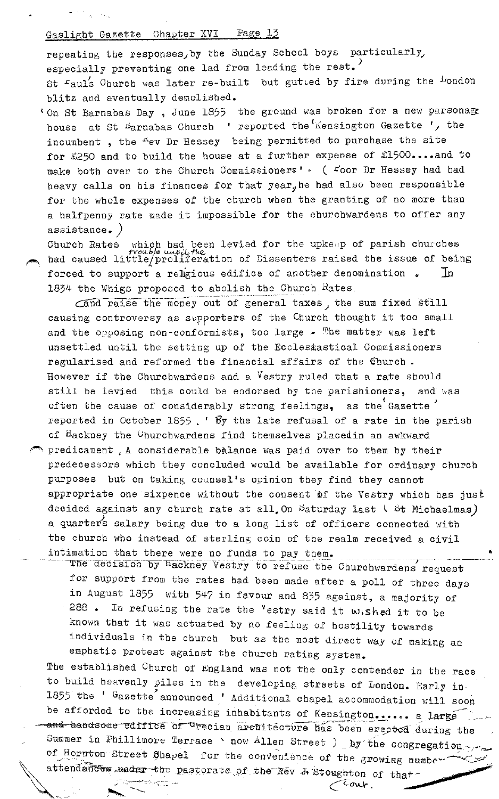repeating the responses, by the Sunday School boys particularly, especially preventing one lad from leading the rest.<sup>)</sup> St Faul's Church was later re-built but gutted by fire during the London blitz and eventually demolished.

ton St Barnabas Day, June 1855 the ground was broken for a new parsonage house at St Barnabas Church ' reported the Kensington Gazette ', the incumbent, the "ev Dr Hessey being permitted to purchase the site for  $£250$  and to build the house at a further expense of  $£1500...$  and to make both over to the Church Commissioners'  $\cdot$  (  $\angle^2$ oor Dr Hessey had had heavy calls on his finances for that year, he had also been responsible for the whole expenses of the church when the granting of no more than a halfpenny rate made it impossible for the churchwardens to offer any assistance. *)* 

Church Rates which bad been levied for the upkeep of parish churches -tractle until the method of Dissenters raised the issue of being forced to support a religious edifice of another denomination  $\Box$  In 1834 the Whigs proposed to abolish the Church  $R_{\texttt{ates}}$ .

 $\overline{\text{cand raise the money out of general taxes}}$ , the sum fixed still causing controversy as supporters of the Church thought it too small and the opposing non-conformists, too large  $\bullet$  The matter was left unsettled until the setting up of the Ecclesiastical Commissioners regularised and reformed the financial affairs of the Church. However if the Churchwardens and a Vestry ruled that a rate should still be levied this could be endorsed by the parishioners, and was often the cause of considerably strong feelings, as the Gazette reported in October 1855.  $\cdot$  By the late refusal of a rate in the parish of Hackney the Uhurchwardens find themselves placedin an awkward  $\curvearrowright$  predicament  $\Box$  A considerable balance was paid over to them by their predecessors which they concluded would be available for ordinary church purposes but on taking counsel's opinion they find they cannot appropriate one sixpence without the consent of the Vestry which has just decided against any church rate at all, On  $\beta$ aturday last  $\beta$  Michaelmas) a quarter's salary being due to a long list of officers connected with the church who instead of sterling coin of the realm received a civil intimation that there were no funds to pay them.

The decision by Hackney Vestry to refuse the Churchwardens request for support from the rates bad been made after a poll of three days in August 1855 with 547 in favour and 835 against, a majority of 288. In refusing the rate the  $v$  estry said it wished it to be known that it was actuated by no feeling of hostility towards individuals in the church but as the most direct way of making an emphatic protest against the church rating system.

The established Church of England was not the only contender in the race to build heavenly piles in the developing streets of London. Early in 1855 the ' Gazette announced ' Additional chapel accommodation will soon be afforded to the increasing inhabitants of Kensington...... a large  $-$  and bandsome edifice of  $T$  recian architecture has been erected during the Summer in Phillimore Terrace ' now Allen Street ) by the congregation  $\gamma$ . of Hornton Street Chapel for the convenience of the growing number ttendances wader the pastorate of the Rev J Stoughton of that

 $\frac{1}{\sqrt{2}}$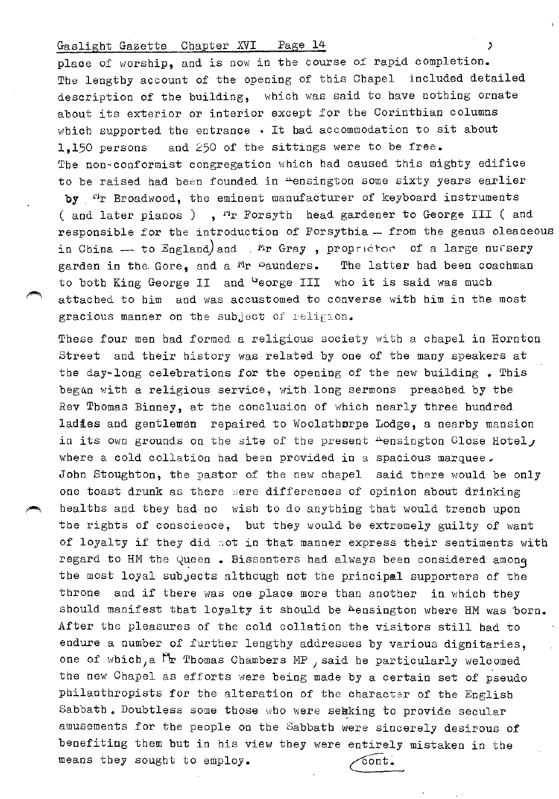## Gaslight Gazette Chapter XVI Page 14 (1998)

place of worship, and is now in the course of rapid completion. The lengthy account of the opening of this Chapel included detailed description of the building, which was said to have nothing ornate about its exterior or interior except for the Corinthian columns which supported the entrance . It had accommodation to sit about 1,150 persons and 250 of the sittings were to be free. The non-conformist congregation which had caused this mighty edifice to be raised had been founded in "ensington some sixty years earlier by <sup>11</sup>r Broadwood, the eminent manufacturer of keyboard instruments ( and later pianos ),  $r^2r$  Forsyth head gardener to George III ( and responsible for the introduction of Forsythia - from the genus oleaceous in China - to England)and .  $\frac{ln}{r}$  Gray, proprictor of a large nursery garden in the Gore, and a  $M_T$  equiders. The latter had been coachman to both King George II and George III who it is said was much attached to him and was accustomed to converse with him in the most gracious manner on the subject of religion.

These four men bad formed a religious society with a chapel in Hornton Street and their history was related by one of the many speakers at the day-long celebrations for the opening of the new building • This began with a religious service, with long sermons preached by the Rev Thomas Binney, at the conclusion of which nearly three hundred ladies and gentlemen repaired to Woolsthnrpe Lodge, a nearby mansion in its own grounds on the site of the present  $A$ ensington Close Hotel, where a cold collation had been provided in a spacious marquee. John Stoughton, the pastor of the new chapel said there would be only one toast drunk as there were differences of opinion about drinking healths and they had no wish to do anything that would trench upon the rights of conscience, but they would be extremely guilty of want of loyalty if they did oot in that manner express their sentiments with regard to HM the Queen . Bissenters had always been considered amonq the most loyal subjects although not the principal supporters of the throne and if there was one place more than another in which they should manifest that loyalty it should be <sup>h</sup>ensington where HM was born. After the pleasures of the cold collation the visitors still had to endure a number of further lengthy addresses by various dignitaries, one of which, a Mr Thomas Chambers MP , said he particularly welcomed the new Chapel as efforts were being made by a certain set of pseudo philanthropists for the alteration of the character of the English Sabbath. Doubtless some those who were sekking to provide secular amusements for the people on the Sabbath were sincerely desirous of benefiting them but in his view they were entirely mistaken in the means they sought to employ.  $\qquad \qquad \qquad \qquad$   $\qquad \qquad$   $\qquad \qquad$   $\qquad$   $\qquad$   $\qquad$   $\qquad$   $\qquad$   $\qquad$   $\qquad$   $\qquad$   $\qquad$   $\qquad$   $\qquad$   $\qquad$   $\qquad$   $\qquad$   $\qquad$   $\qquad$   $\qquad$   $\qquad$   $\qquad$   $\qquad$   $\qquad$   $\qquad$   $\qquad$   $\qquad$   $\qquad$   $\qquad$   $\q$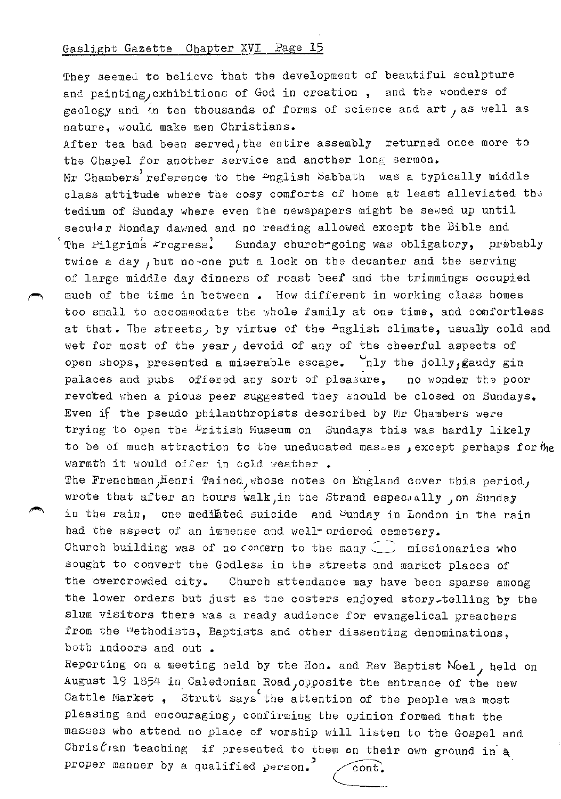They seemed to believe that the development of beautiful sculpture and painting, exhibitions of God in creation, and the wonders of geology and in ten thousands of forms of science and art, as well as nature, would make men Christians.

After tea bad been served, the entire assembly returned once more to the Chapel for another service and another long sermon. Mr Chambers reference to the <sup>nglish Sabbath was a typically middle</sup> class attitude where the cosy comforts of home at least alleviated the tedium of Sunday where even the newspapers might be sewed up until secular Monday dawned and no reading allowed except the Bible and The Pilgrims Frogress. Sunday church-going was obligatory, probably twice a day ,but no-one put a lock on the decanter and the serving of large middle day dinners of roast beef and the trimmings occupied much of the time in between . How different in working class homes too small to accommodate the whole family at one time, and comfortless at that. The streets, by virtue of the  $+$ nglish climate, usually cold and wet for most of the year, devoid of any of the cheerful aspects of open shops, presented a miserable escape.  $\mathcal{L}_{\text{nly}}$  the jolly, gaudy gin palaces and pubs offered any sort of pleasure, no wonder the poor revolted when a pious peer suggested they should be closed on Sundays. Even if the pseudo philanthropists described by Mr Chambers were trying to open the <sup>b</sup>ritish Museum on Sundays this was hardly likely to be of much attraction to the uneducated masses, except perhaps for the warmth it would offer in cold weather.

The Frenchman, Henri Tained, whose notes on England cover this period, wrote that after an hours walk, in the Strand especJally  $\int$  on Sunday in the rain, one medilated suicide and Sunday in London in the rain had the aspect of an immense and well- ordered cemetery. Church building was of no concern to the many  $\subset$  missionaries who sought to convert the Godless in the streets and market places of the overcrowded city. Church attendance may have been sparse among the lower orders but just as the costers enjoyed story~telling by the slum visitors there was a ready audience for evangelical preachers from the "ethodists, Baptists and other dissenting denominations, both indoors and out.

Reporting on a meeting held by the Hon. and Rev Baptist  $N$ oel, held on August 19 1854 in Caledonian Road, opposite the entrance of the new Cattle Market , Strutt says the attention of the people was most pleasing and encouraging) confirming the opinion formed that the masses who attend no place of worship will listen to the Gospel and Chris $\ell$ , an teaching if presented to them on their own ground in  $^{*}$ proper manner by a qualified person.  $\sim$   $\sim$   $\sim$   $\sim$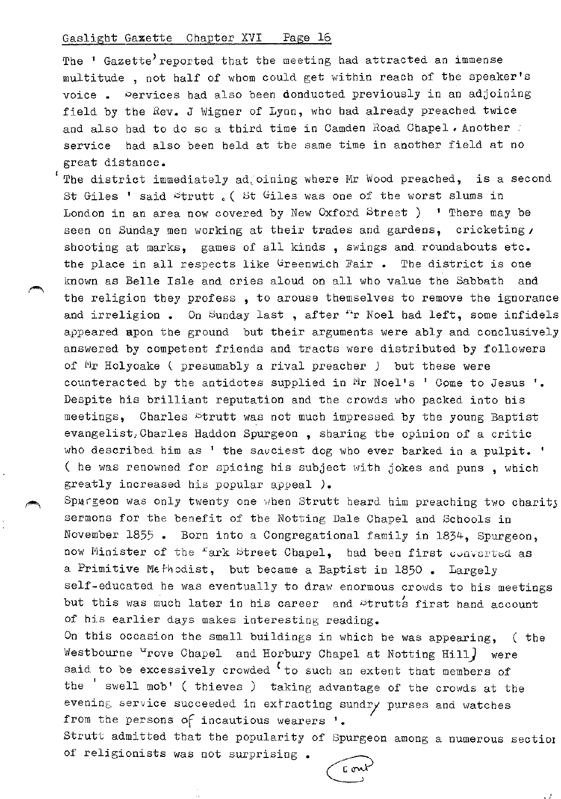The ' Gazette' reported that the meeting had attracted an immense multitude , not half of whom could get within reach of the speaker's voice . Dervices had also been donducted previously in an adjoining field by the Rev. J Wigner of Lyon, who had already preached twice and also had to do so a third time in Camden Road Chapel. Another . service had also been held at the same time in another field at no great distance.

The district immediately ad, oining where Mr Wood preached, is a second St Giles ' said strutt . ( St Giles was one of the worst slums in London in an area now covered by New Oxford Street ) ' There may be seen on Sunday men working at their trades and gardens, cricketing, shooting at marks, games of all kinds , swings and roundabouts etc. the place in all respects like Greenwich Fair. The district is one known as Belle Isle and cries aloud on all who value the Sabbath and the religion they profess , to arouse themselves to remove the ignorance and irreligion. On Sunday last, after "r Noel had left, some infidels appeared apon the ground but their arguments were ably and conclusively answered by competent friends and tracts were distributed by followers of Mr Holyoake ( presumably a rival preacher *)* but these were counteracted by the antidotes supplied in Mr Noel's ' Come to Jesus '. Despite his brilliant reputation and the crowds who packed into his meetings, Charles Strutt was not much impressed by the young Baptist evangelist,Charles Haddon Spurgeon , sharing the opinion of a critic who described him as ' the savciest dog who ever barked in a pulpit. ' ( he was renowned for spicing his subject with jokes and puns , which greatly increased his popular appeal *).* 

Spurgeon was only twenty one when Strutt heard him preaching two charity sermons for the benefit of the Notting Dale Chapel and Schools in November 1855 • Born into a Congregational family in 1834, Spurgeon, now Minister of the fark Street Chapel, had been first converted as a Primitive Methodist, but became a Baptist in 1850 • Largely self-educated he was eventually to draw enormous crowds to his meetings but this was much later in his career and strutts first hand account of his earlier days makes interesting reading.

On this occasion the small buildings in which he was appearing, ( tbe Westbourne <sup>u</sup>rove Chapel and Horbury Chapel at Notting Hill) were said to be excessively crowded  $\epsilon$  to such an extent that members of the 'swell mob' ( thieves ) taking advantage of the crowds at the evening service succeeded in extracting sundry purses and watches from the persons of incautious wearers  $\cdot$ .

Strutt admitted that the popularity of Spurgeon among a numerous sectiot of religionists was not surprising •

r. m

' ;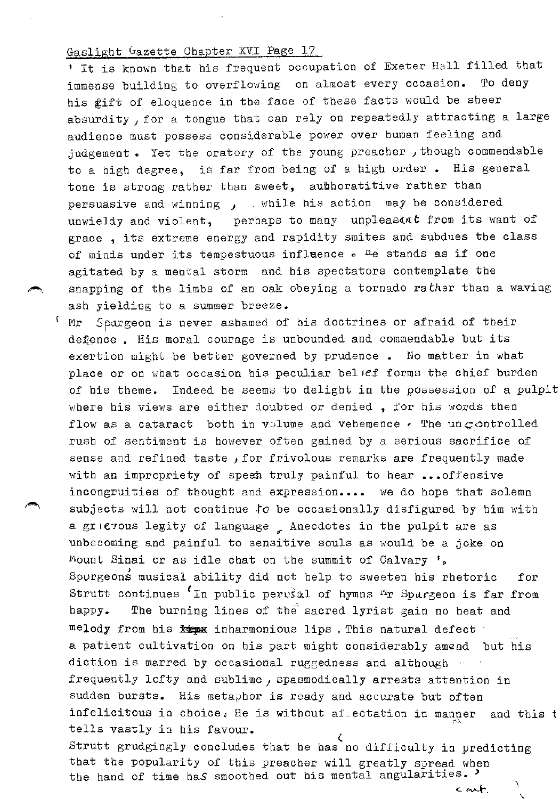1 It is known that his frequent occupation of Exeter Hall filled that immense building to overflowing on almost every occasion. To deny his gift of eloquence in the face of these facts would be sheer absurdity, for a tongue that can rely on repeatedly attracting a large audience must possess considerable power over human feeling and judgement e Yet the oratory of the young preacher *1* though commendable to a high degree, is far from being of a high order. His general tone is strong rather than sweet, aubhoratitive rather than persuasive and winning  $J$  while his action may be considered unwieldy and violent, perhaps to many unpleasant from its want of grace , its extreme energy and rapidity smites and subdues the class of minds under its tempestuous influence  $\bullet$  <sup>H</sup>e stands as if one agitated by a mental storm and his spectators contemplate the snapping of the limbs of an oak obeying a tornado rather than a waving ash yielding to a summer breeze.

Mr Sourgeon is never ashamed of his doctrines or afraid of their I defence. His moral courage is unbounded and commendable but its exertion might be better governed by prudence. No matter in what place or on what occasion his peculiar belief forms the chief burden of his theme. Indeed he seems to delight in the possession of a pulpit where his views are either doubted or denied, for his words then flow as a cataract both in volume and vehemence  $\epsilon$  The uncontrolled rush of sentiment is however often gained by a serious sacrifice of sense and refined taste  $f$  for frivolous remarks are frequently made with an impropriety of speen truly painful to hear ... offensive incongruities of thought and expression.... we do hope that solemn subjects will not continue to be occasionally disfigured by him with a grierous legity of language . Anecdotes in the pulpit are as unbecoming and painful to sensitive souls as would be a joke on Mount Sinai or as idle chat on the summit of Calvary  $\cdot$ . Sp $\nu$ rgeons musical ability did not help to sweeten his rhetoric for Strutt continues <sup>(</sup>In public perusul of hymns <sup>ri</sup>r Spargeon is far from happy. The burning lines of the sacred lyrist gain no heat and melody from his x inharmonious lips. This natural defect a patient cultivation on his part might considerably amend but his diction is marred by occasional ruggedness and although frequently lofty and sublime, spasmodically arrests attention in sudden bursts. His metaphor is ready and accurate but often infelicitous in choice. He is without afrectation in manner and this  $t$ tells vastly in his favour. ( Strutt grudgingly concludes that he has no difficulty in predicting that the popularity of this preacher will greatly spread when the hand of time has smoothed out his mental angularities.  $c$  and  $r$ .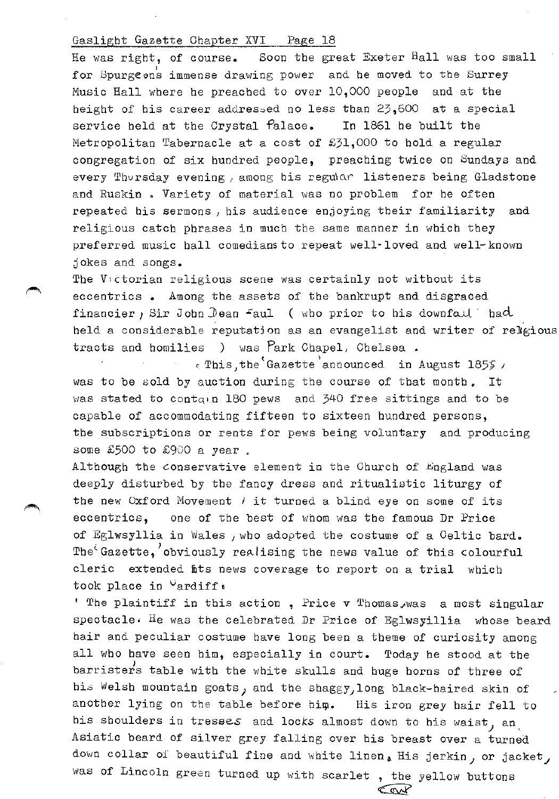He was right, of course. Soon the great Exeter  $\text{H}\text{all}$  was too small for Spurgeons immense drawing power and he moved to the Surrey Music Hall where he preached to over 10,000 people and at the height of his career addressed no less than  $23,600$  at a special service held at the Crystal  $P$ alace. In 1861 he built the Metropolitan Tabernacle at a cost of £31,000 to hold a regular congregation of six hundred people, preaching twice on Sundays and every Thursday evening, among his regular listeners being Gladstone and Ruskin. Variety of material was no problem for he often repeated his sermons *1* his audience enjoying their familiarity and religious catch phrases in much the same manner in which they preferred music hall comediansto repeat well-loved and well-known jokes and songs.

The V1ctorian religious scene was certainly not without its eccentrics • Among the assets of the bankrupt and disgraced financier, Sir John Dean Faul ( who prior to his downfold back held a considerable reputation as an evangelist and writer of relgious tracts and homilies ) was  $\text{Park One1}$ , Chelsea.

t ' *c:* This) the Gazette announced in August 185~ , was to be sold by auction during the course of that month. It was stated to contqun 180 pews and 340 free sittings and to be capable of accommodating fifteen to sixteen hundred persons, the subscriptions or rents for pews being voluntary and producing some £500 to £900 a year.

Although the conservative element in the Church of England was deeply disturbed by the fancy dress and ritualistic liturgy of the new Oxford Movement  $\ell$  it turned a blind eye on some of its eccentrics, one of the best of whom was the famous Dr Price of Eglwsyllia in Wales , who adopted the costume of a Celtic bard. The<sup> $\epsilon$ </sup>Gazette, obviously realising the news value of this colourful cleric extended fits news coverage to report on a trial which took place in <sup>U</sup>ardiff:

' The plaintiff in this action, Price  $v$  Thomas , was a most singular spectacle• He was the celebrated Dr Price of Eglwsyillia whose beard hair and peculiar costume have long been a theme of curiosity among all who have seen him, especially in court. Today he stood at the barristers table with the white skulls and huge horns of three of his Welsh mountain goats, and the shaggy, long black-haired skin of another lying on the table before him. His iron grey hair fell to his shoulders in tresses and locks almost down to his waist, and Asiatic beard of silver grey falling over his breast over a turned down collar of beautiful fine and white linen. His jerkin, or jacket, was of Lincoln green turned up with scarlet, the yellow buttons  $\overbrace{C\otimes P}$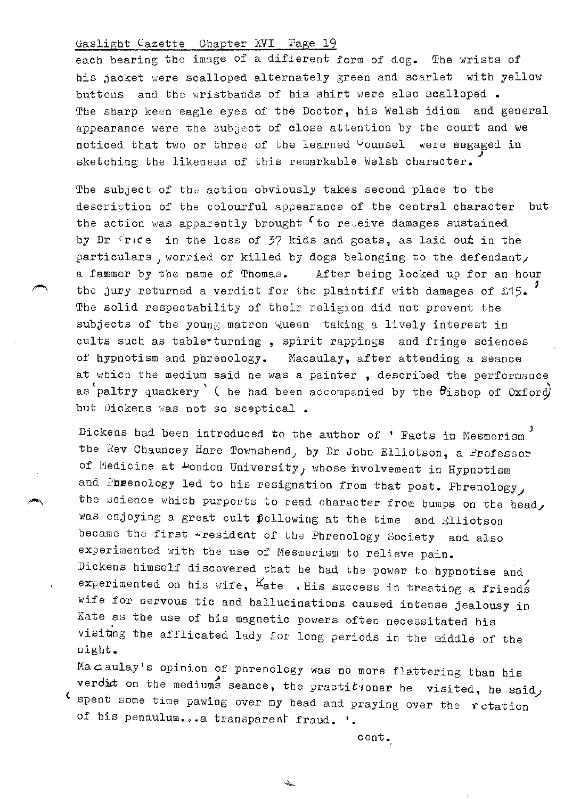each bearing the image of a different form of dog. The wrists of his jacket were scalloped alternately green and scarlet with yellow buttons and the wristbands of his shirt were also scalloped. The sharp keen eagle eyes of the Doctor, his Welsh idiom and general appearance were the subject of close attention by the court and we noticed that two or three of the learned <sup>C</sup>ounsel were engaged in *.)*  sketching the likeness of this remarkable Welsh character.

The subject of the action obviously takes second place to the description of the colourful appearance of the central character but the action was apparently brought  $\epsilon$  to re~eive damages sustained by Dr  $r$ rice in the loss of 37 kids and goats, as laid out in the particulars, worried or killed by dogs belonging to the defendant, a fammer by the name of Thomas. After being locked up for an hour the jury returned a verdict for the plaintiff with damages of £15. The solid respectability of their religion did not prevent the subjects of the young matron Queen taking a lively interest in cults such as table-turning, spirit rappings and fringe sciences of hypnotism and phrenology. Macaulay, after attending a seance at which the medium said he was a painter , described the performance as paltry quackery' ( he had been accompanied by the  $\theta$ ishop of Oxford but Dickens was not so sceptical.

Dickens had been introduced to the author of ' Facts in Mesmerism the Rev Chauncey Hare Townshend; by Dr John Elliotson, a Professor of Medicine at  $\mu$ ondon University, whose involvement in Hypnotism and Pheenology led to his resignation from that post. Phrenology, the science which purports to read character from bumps on the head, was enjoying a great cult pollowing at the time and Elliotson became the first \*resident of the Phrenology Society and also experimented with the use of Mesmerism to relieve pain. Dickens himself discovered that he had the power to hypnotise and experimented on his wife,  $K_{\text{ate}}$  . His success in treating a friends wife for nervous tic and hallucinations caused intense jealousy in Kate as the use of his magnetic powers often necessitated his visitng the afflicated lady for long periods in the middle of the night.

Macaulay's opinion of phrenology was no more flattering than his verdict on the mediums seance, the practitioner he visited, he said, spent some time pawing over my bead and praying over the rotation of his pendulum...a transparent fraud. '.

پيشت

cont.